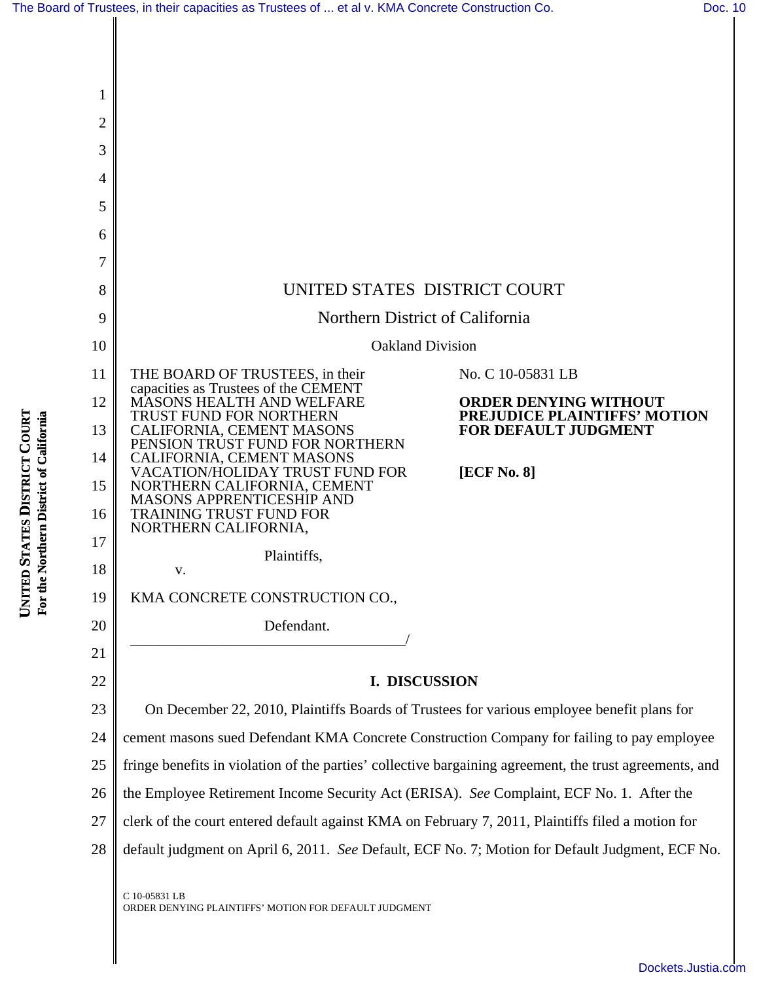|  |  | The Board of Trustees, in their capacities as Trustees of  et al v. KMA Concrete Construction Co. | Doc. 10 |
|--|--|---------------------------------------------------------------------------------------------------|---------|
|--|--|---------------------------------------------------------------------------------------------------|---------|



C 10-05831 LB ORDER DENYING PLAINTIFFS' MOTION FOR DEFAULT JUDGMENT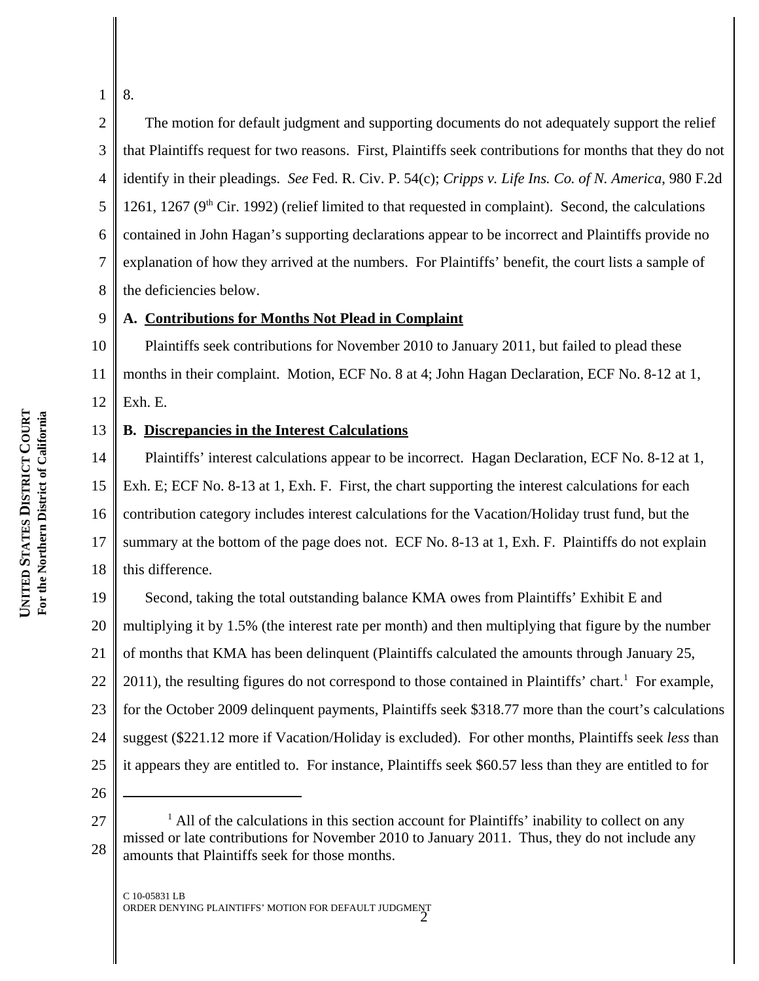1 8.

4

7

2 3 5 6 8 The motion for default judgment and supporting documents do not adequately support the relief that Plaintiffs request for two reasons. First, Plaintiffs seek contributions for months that they do not identify in their pleadings. *See* Fed. R. Civ. P. 54(c); *Cripps v. Life Ins. Co. of N. America*, 980 F.2d 1261, 1267 ( $9<sup>th</sup>$  Cir. 1992) (relief limited to that requested in complaint). Second, the calculations contained in John Hagan's supporting declarations appear to be incorrect and Plaintiffs provide no explanation of how they arrived at the numbers. For Plaintiffs' benefit, the court lists a sample of the deficiencies below.

#### 9 **A. Contributions for Months Not Plead in Complaint**

10 11 12 Plaintiffs seek contributions for November 2010 to January 2011, but failed to plead these months in their complaint. Motion, ECF No. 8 at 4; John Hagan Declaration, ECF No. 8-12 at 1, Exh. E.

### 13 **B. Discrepancies in the Interest Calculations**

14 15 16 17 18 Plaintiffs' interest calculations appear to be incorrect. Hagan Declaration, ECF No. 8-12 at 1, Exh. E; ECF No. 8-13 at 1, Exh. F. First, the chart supporting the interest calculations for each contribution category includes interest calculations for the Vacation/Holiday trust fund, but the summary at the bottom of the page does not. ECF No. 8-13 at 1, Exh. F. Plaintiffs do not explain this difference.

19 20 21 22 23 24 25 Second, taking the total outstanding balance KMA owes from Plaintiffs' Exhibit E and multiplying it by 1.5% (the interest rate per month) and then multiplying that figure by the number of months that KMA has been delinquent (Plaintiffs calculated the amounts through January 25, 2011), the resulting figures do not correspond to those contained in Plaintiffs' chart.<sup>1</sup> For example, for the October 2009 delinquent payments, Plaintiffs seek \$318.77 more than the court's calculations suggest (\$221.12 more if Vacation/Holiday is excluded). For other months, Plaintiffs seek *less* than it appears they are entitled to. For instance, Plaintiffs seek \$60.57 less than they are entitled to for

26

<sup>27</sup> 28 <sup>1</sup> All of the calculations in this section account for Plaintiffs' inability to collect on any missed or late contributions for November 2010 to January 2011. Thus, they do not include any amounts that Plaintiffs seek for those months.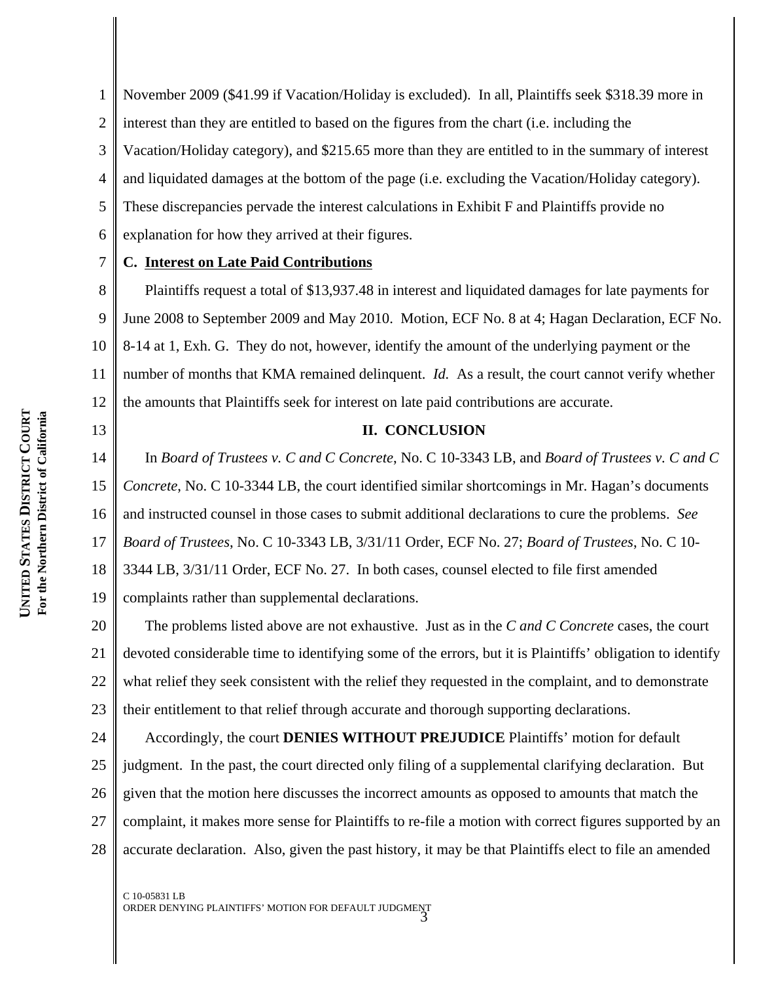1 2 3 4 5 6 November 2009 (\$41.99 if Vacation/Holiday is excluded). In all, Plaintiffs seek \$318.39 more in interest than they are entitled to based on the figures from the chart (i.e. including the Vacation/Holiday category), and \$215.65 more than they are entitled to in the summary of interest and liquidated damages at the bottom of the page (i.e. excluding the Vacation/Holiday category). These discrepancies pervade the interest calculations in Exhibit F and Plaintiffs provide no explanation for how they arrived at their figures.

**C. Interest on Late Paid Contributions**

8 9 10 11 12 Plaintiffs request a total of \$13,937.48 in interest and liquidated damages for late payments for June 2008 to September 2009 and May 2010. Motion, ECF No. 8 at 4; Hagan Declaration, ECF No. 8-14 at 1, Exh. G. They do not, however, identify the amount of the underlying payment or the number of months that KMA remained delinquent. *Id.* As a result, the court cannot verify whether the amounts that Plaintiffs seek for interest on late paid contributions are accurate.

# 13

7

### **II. CONCLUSION**

14 15 16 17 18 19 In *Board of Trustees v. C and C Concrete*, No. C 10-3343 LB, and *Board of Trustees v. C and C Concrete*, No. C 10-3344 LB, the court identified similar shortcomings in Mr. Hagan's documents and instructed counsel in those cases to submit additional declarations to cure the problems. *See Board of Trustees*, No. C 10-3343 LB, 3/31/11 Order, ECF No. 27; *Board of Trustees*, No. C 10- 3344 LB, 3/31/11 Order, ECF No. 27. In both cases, counsel elected to file first amended complaints rather than supplemental declarations.

20 21 22 23 The problems listed above are not exhaustive. Just as in the *C and C Concrete* cases, the court devoted considerable time to identifying some of the errors, but it is Plaintiffs' obligation to identify what relief they seek consistent with the relief they requested in the complaint, and to demonstrate their entitlement to that relief through accurate and thorough supporting declarations.

24 25 26 27 28 Accordingly, the court **DENIES WITHOUT PREJUDICE** Plaintiffs' motion for default judgment. In the past, the court directed only filing of a supplemental clarifying declaration. But given that the motion here discusses the incorrect amounts as opposed to amounts that match the complaint, it makes more sense for Plaintiffs to re-file a motion with correct figures supported by an accurate declaration. Also, given the past history, it may be that Plaintiffs elect to file an amended

C 10-05831 LB ORDER DENYING PLAINTIFFS' MOTION FOR DEFAULT JUDGMENT 3